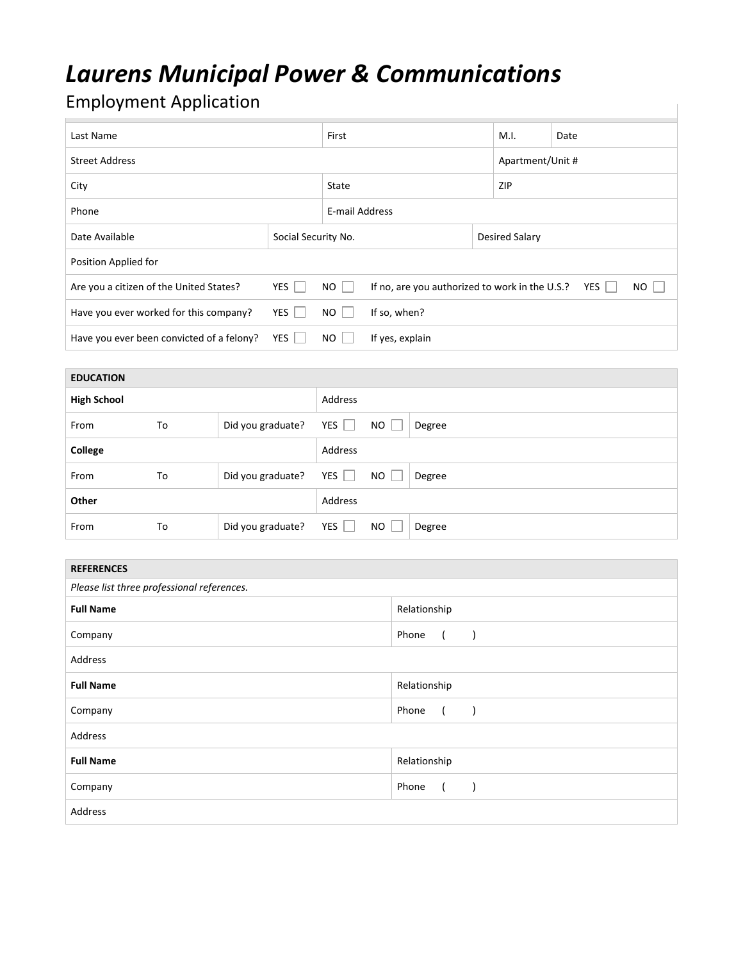## *Laurens Municipal Power & Communications*

## **Employment Application**

| Last Name                                        |            |                     | First                                                            |  |                       | Date             |  |
|--------------------------------------------------|------------|---------------------|------------------------------------------------------------------|--|-----------------------|------------------|--|
| <b>Street Address</b>                            |            |                     |                                                                  |  |                       | Apartment/Unit # |  |
| City                                             |            |                     | State                                                            |  |                       | ZIP              |  |
| Phone                                            |            |                     | E-mail Address                                                   |  |                       |                  |  |
| Date Available                                   |            | Social Security No. |                                                                  |  | <b>Desired Salary</b> |                  |  |
| Position Applied for                             |            |                     |                                                                  |  |                       |                  |  |
| YES  <br>Are you a citizen of the United States? |            | $NO$                | If no, are you authorized to work in the U.S.?<br>YES    <br>NO. |  |                       |                  |  |
| Have you ever worked for this company?           | YES        | NO I                | If so, when?                                                     |  |                       |                  |  |
| Have you ever been convicted of a felony?        | <b>YES</b> | NO I                | If yes, explain                                                  |  |                       |                  |  |

| <b>EDUCATION</b>   |    |                   |            |           |        |
|--------------------|----|-------------------|------------|-----------|--------|
| <b>High School</b> |    |                   | Address    |           |        |
| From               | To | Did you graduate? | YES $\Box$ | <b>NO</b> | Degree |
| College            |    |                   | Address    |           |        |
| From               | To | Did you graduate? | $YES$      | <b>NO</b> | Degree |
| Other              |    |                   | Address    |           |        |
| From               | To | Did you graduate? | YES        | NO.       | Degree |

| <b>REFERENCES</b>                          |              |  |  |  |  |
|--------------------------------------------|--------------|--|--|--|--|
| Please list three professional references. |              |  |  |  |  |
| <b>Full Name</b>                           | Relationship |  |  |  |  |
| Company                                    | Phone        |  |  |  |  |
| Address                                    |              |  |  |  |  |
| <b>Full Name</b>                           | Relationship |  |  |  |  |
| Company                                    | Phone        |  |  |  |  |
| Address                                    |              |  |  |  |  |
| <b>Full Name</b>                           | Relationship |  |  |  |  |
| Company                                    | Phone        |  |  |  |  |
| Address                                    |              |  |  |  |  |